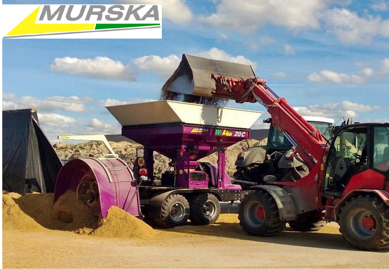

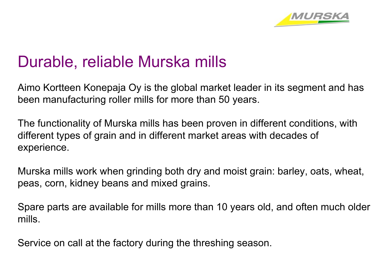

# Durable, reliable Murska mills

Aimo Kortteen Konepaja Oy is the global market leader in its segment and has been manufacturing roller mills for more than 50 years.

The functionality of Murska mills has been proven in different conditions, with different types of grain and in different market areas with decades of experience.

Murska mills work when grinding both dry and moist grain: barley, oats, wheat, peas, corn, kidney beans and mixed grains.

Spare parts are available for mills more than 10 years old, and often much older mills.

Service on call at the factory during the threshing season.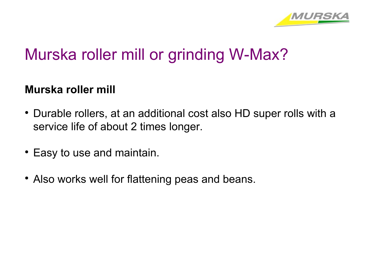

# Murska roller mill or grinding W-Max?

### **Murska roller mill**

- Durable rollers, at an additional cost also HD super rolls with a service life of about 2 times longer.
- Easy to use and maintain.
- Also works well for flattening peas and beans.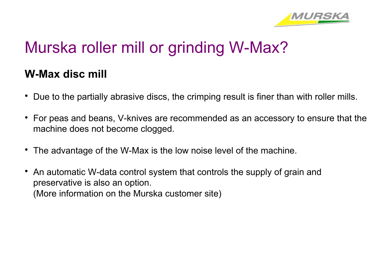

# Murska roller mill or grinding W-Max?

### **W-Max disc mill**

- Due to the partially abrasive discs, the crimping result is finer than with roller mills.
- For peas and beans, V-knives are recommended as an accessory to ensure that the machine does not become clogged.
- The advantage of the W-Max is the low noise level of the machine.
- An automatic W-data control system that controls the supply of grain and preservative is also an option. (More information on the Murska customer site)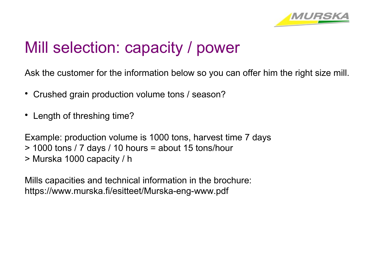

# Mill selection: capacity / power

Ask the customer for the information below so you can offer him the right size mill.

- Crushed grain production volume tons / season?
- Length of threshing time?

Example: production volume is 1000 tons, harvest time 7 days > 1000 tons / 7 days / 10 hours = about 15 tons/hour > Murska 1000 capacity / h

Mills capacities and technical information in the brochure: https://www.murska.fi/esitteet/Murska-eng-www.pdf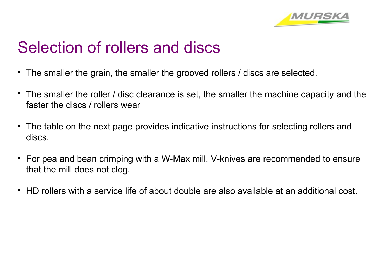

# Selection of rollers and discs

- The smaller the grain, the smaller the grooved rollers / discs are selected.
- The smaller the roller / disc clearance is set, the smaller the machine capacity and the faster the discs / rollers wear
- The table on the next page provides indicative instructions for selecting rollers and discs.
- For pea and bean crimping with a W-Max mill, V-knives are recommended to ensure that the mill does not clog.
- HD rollers with a service life of about double are also available at an additional cost.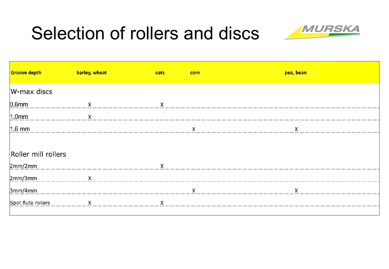# Selection of rollers and discs



| <b>Groove depth</b> | barley, wheat                                                                                                  | oats         | corn         | pea, bean    |
|---------------------|----------------------------------------------------------------------------------------------------------------|--------------|--------------|--------------|
| W-max discs         |                                                                                                                |              |              |              |
| $0,6$ mm            | $\mathsf{X}$                                                                                                   | $\mathsf{X}$ |              |              |
| $1,0$ mm            | $\mathsf{X}$                                                                                                   |              |              |              |
| $1,6$ mm            | <u>un permeter en en en en el en en en e</u>                                                                   |              | $\mathsf{X}$ | $\mathsf{X}$ |
|                     |                                                                                                                |              |              |              |
| Roller mill rollers |                                                                                                                |              |              |              |
|                     | 2mm/2mm and 2000 and 2000 and 2000 and 2000 and 2000 and 2000 and 2000 and 2000 and 2000 and 2000 and 2000 and | X            |              |              |
| 2mm/3mm X           |                                                                                                                |              |              |              |
| 3mm/4mm             | ______________________________                                                                                 |              | X            | X            |
| Spot flute rollers  | $\mathsf{X}$                                                                                                   | X            |              |              |
|                     |                                                                                                                |              |              |              |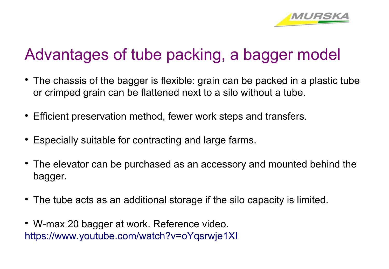

# Advantages of tube packing, a bagger model

- The chassis of the bagger is flexible: grain can be packed in a plastic tube or crimped grain can be flattened next to a silo without a tube.
- Efficient preservation method, fewer work steps and transfers.
- Especially suitable for contracting and large farms.
- The elevator can be purchased as an accessory and mounted behind the bagger.
- The tube acts as an additional storage if the silo capacity is limited.
- W-max 20 bagger at work. Reference video. <https://www.youtube.com/watch?v=oYqsrwje1XI>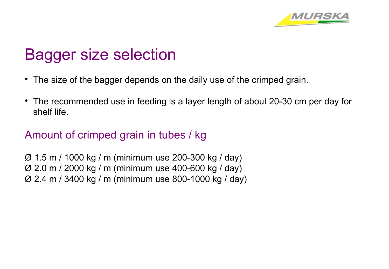

# Bagger size selection

- The size of the bagger depends on the daily use of the crimped grain.
- The recommended use in feeding is a layer length of about 20-30 cm per day for shelf life.

### Amount of crimped grain in tubes / kg

Ø 1.5 m / 1000 kg / m (minimum use 200-300 kg / day) Ø 2.0 m / 2000 kg / m (minimum use 400-600 kg / day) Ø 2.4 m / 3400 kg / m (minimum use 800-1000 kg / day)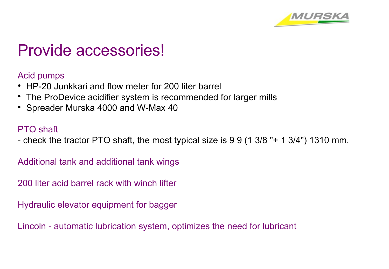

## Provide accessories!

Acid pumps

- HP-20 Junkkari and flow meter for 200 liter barrel
- The ProDevice acidifier system is recommended for larger mills
- Spreader Murska 4000 and W-Max 40

#### PTO shaft

- check the tractor PTO shaft, the most typical size is 9 9 (1 3/8 "+ 1 3/4") 1310 mm.

Additional tank and additional tank wings

200 liter acid barrel rack with winch lifter

Hydraulic elevator equipment for bagger

Lincoln - automatic lubrication system, optimizes the need for lubricant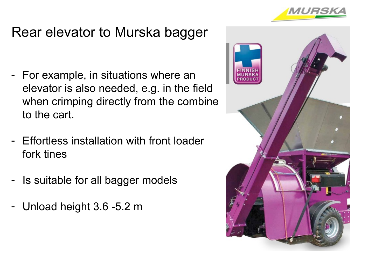

### Rear elevator to Murska bagger

- For example, in situations where an elevator is also needed, e.g. in the field when crimping directly from the combine to the cart.
- Effortless installation with front loader fork tines
- Is suitable for all bagger models
- Unload height 3.6 -5.2 m

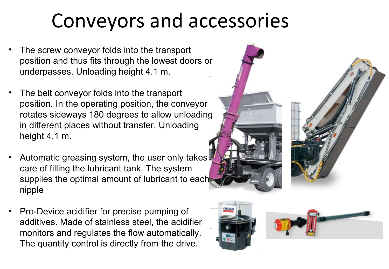# Conveyors and accessories

- The screw conveyor folds into the transport position and thus fits through the lowest doors or underpasses. Unloading height 4.1 m.
- The belt conveyor folds into the transport position. In the operating position, the conveyor rotates sideways 180 degrees to allow unloading in different places without transfer. Unloading height 4.1 m.
- Automatic greasing system, the user only takes. care of filling the lubricant tank. The system supplies the optimal amount of lubricant to eachnipple
- Pro-Device acidifier for precise pumping of additives. Made of stainless steel, the acidifier monitors and regulates the flow automatically. The quantity control is directly from the drive.



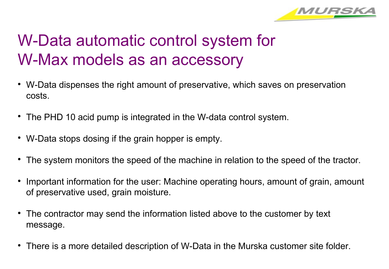

# W-Data automatic control system for W-Max models as an accessory

- W-Data dispenses the right amount of preservative, which saves on preservation costs.
- The PHD 10 acid pump is integrated in the W-data control system.
- W-Data stops dosing if the grain hopper is empty.
- The system monitors the speed of the machine in relation to the speed of the tractor.
- $\bullet$ Important information for the user: Machine operating hours, amount of grain, amount of preservative used, grain moisture.
- The contractor may send the information listed above to the customer by text message.
- There is a more detailed description of W-Data in the Murska customer site folder.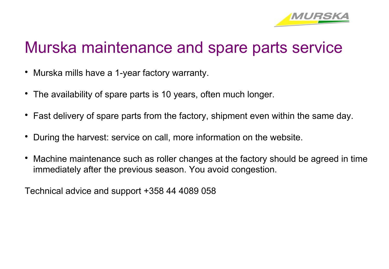

# Murska maintenance and spare parts service

- Murska mills have a 1-year factory warranty.
- The availability of spare parts is 10 years, often much longer.
- Fast delivery of spare parts from the factory, shipment even within the same day.
- During the harvest: service on call, more information on the website.
- Machine maintenance such as roller changes at the factory should be agreed in time immediately after the previous season. You avoid congestion.

Technical advice and support +358 44 4089 058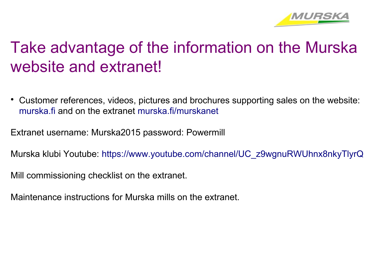

# Take advantage of the information on the Murska website and extranet!

• Customer references, videos, pictures and brochures supporting sales on the website: [murska.fi](http://murska.fi/) and on the extranet [murska.fi/murskanet](http://murska.fi/murskanet)

Extranet username: Murska2015 password: Powermill

Murska klubi Youtube: [https://www.youtube.com/channel/UC\\_z9wgnuRWUhnx8nkyTlyrQ](https://www.youtube.com/channel/UC_z9wgnuRWUhnx8nkyTlyrQ)

Mill commissioning checklist on the extranet.

Maintenance instructions for Murska mills on the extranet.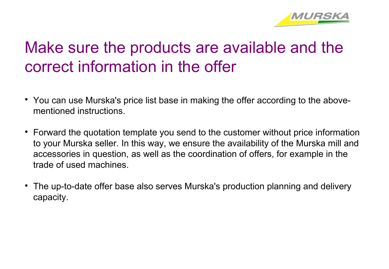

# Make sure the products are available and the correct information in the offer

- You can use Murska's price list base in making the offer according to the abovementioned instructions.
- Forward the quotation template you send to the customer without price information to your Murska seller. In this way, we ensure the availability of the Murska mill and accessories in question, as well as the coordination of offers, for example in the trade of used machines.
- The up-to-date offer base also serves Murska's production planning and delivery capacity.